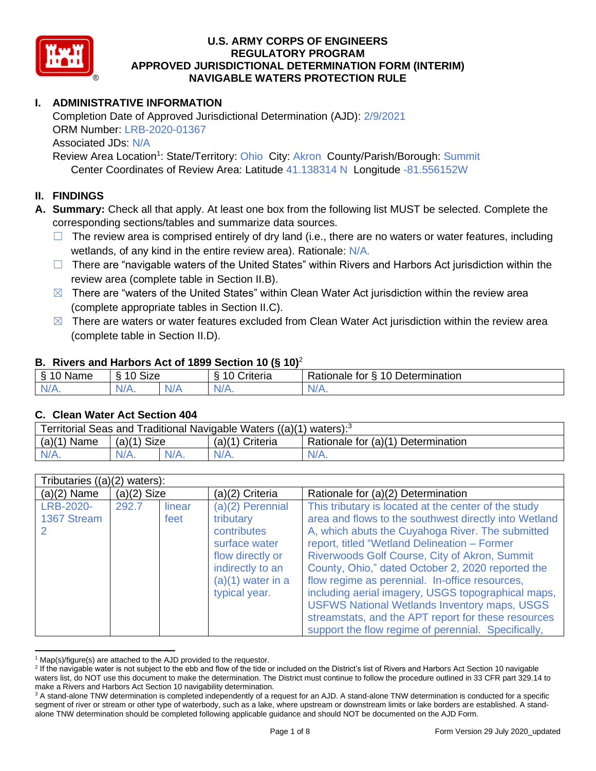

# **I. ADMINISTRATIVE INFORMATION**

Completion Date of Approved Jurisdictional Determination (AJD): 2/9/2021 ORM Number: LRB-2020-01367 Associated JDs: N/A Review Area Location<sup>1</sup>: State/Territory: Ohio City: Akron County/Parish/Borough: Summit

Center Coordinates of Review Area: Latitude 41.138314 N Longitude -81.556152W

## **II. FINDINGS**

**A. Summary:** Check all that apply. At least one box from the following list MUST be selected. Complete the corresponding sections/tables and summarize data sources.

- $\Box$  The review area is comprised entirely of dry land (i.e., there are no waters or water features, including wetlands, of any kind in the entire review area). Rationale: N/A.
- $\Box$  There are "navigable waters of the United States" within Rivers and Harbors Act jurisdiction within the review area (complete table in Section II.B).
- $\boxtimes$  There are "waters of the United States" within Clean Water Act jurisdiction within the review area (complete appropriate tables in Section II.C).
- $\boxtimes$  There are waters or water features excluded from Clean Water Act jurisdiction within the review area (complete table in Section II.D).

#### **B. Rivers and Harbors Act of 1899 Section 10 (§ 10)**<sup>2</sup>

| S<br>$\sim$<br>.<br>10<br>Determination<br>0<br>-<br>$\sim$<br>triteria<br>SIZE<br>-<br>tor<br>$-$<br>≺ationale<br>◠<br>lame |  |
|------------------------------------------------------------------------------------------------------------------------------|--|
| N/A.<br>N/<br>N/A.<br>N/A.<br>.                                                                                              |  |

#### **C. Clean Water Act Section 404**

| Territorial Seas and Traditional Navigable Waters $((a)(1)$ waters): <sup>3</sup> |                |  |                 |                                    |  |  |  |
|-----------------------------------------------------------------------------------|----------------|--|-----------------|------------------------------------|--|--|--|
| (a)(1)<br>Name                                                                    | Size<br>(a)(1) |  | (a)(1) Criteria | Rationale for (a)(1) Determination |  |  |  |
|                                                                                   | $N/A$ .        |  | $N/A$ .         | $N/A$ .                            |  |  |  |

| Tributaries $((a)(2)$ waters): |               |                |                                                                                                                                               |                                                                                                                                                                                                                                                                                                                                                                                                                                                                                                                                                                                                      |
|--------------------------------|---------------|----------------|-----------------------------------------------------------------------------------------------------------------------------------------------|------------------------------------------------------------------------------------------------------------------------------------------------------------------------------------------------------------------------------------------------------------------------------------------------------------------------------------------------------------------------------------------------------------------------------------------------------------------------------------------------------------------------------------------------------------------------------------------------------|
| $(a)(2)$ Name                  | $(a)(2)$ Size |                | (a)(2) Criteria                                                                                                                               | Rationale for (a)(2) Determination                                                                                                                                                                                                                                                                                                                                                                                                                                                                                                                                                                   |
| LRB-2020-<br>1367 Stream       | 292.7         | linear<br>feet | (a)(2) Perennial<br>tributary<br>contributes<br>surface water<br>flow directly or<br>indirectly to an<br>$(a)(1)$ water in a<br>typical year. | This tributary is located at the center of the study<br>area and flows to the southwest directly into Wetland<br>A, which abuts the Cuyahoga River. The submitted<br>report, titled "Wetland Delineation - Former<br>Riverwoods Golf Course, City of Akron, Summit<br>County, Ohio," dated October 2, 2020 reported the<br>flow regime as perennial. In-office resources,<br>including aerial imagery, USGS topographical maps,<br><b>USFWS National Wetlands Inventory maps, USGS</b><br>streamstats, and the APT report for these resources<br>support the flow regime of perennial. Specifically, |

 $1$  Map(s)/figure(s) are attached to the AJD provided to the requestor.

<sup>&</sup>lt;sup>2</sup> If the navigable water is not subject to the ebb and flow of the tide or included on the District's list of Rivers and Harbors Act Section 10 navigable waters list, do NOT use this document to make the determination. The District must continue to follow the procedure outlined in 33 CFR part 329.14 to make a Rivers and Harbors Act Section 10 navigability determination.

<sup>&</sup>lt;sup>3</sup> A stand-alone TNW determination is completed independently of a request for an AJD. A stand-alone TNW determination is conducted for a specific segment of river or stream or other type of waterbody, such as a lake, where upstream or downstream limits or lake borders are established. A standalone TNW determination should be completed following applicable guidance and should NOT be documented on the AJD Form.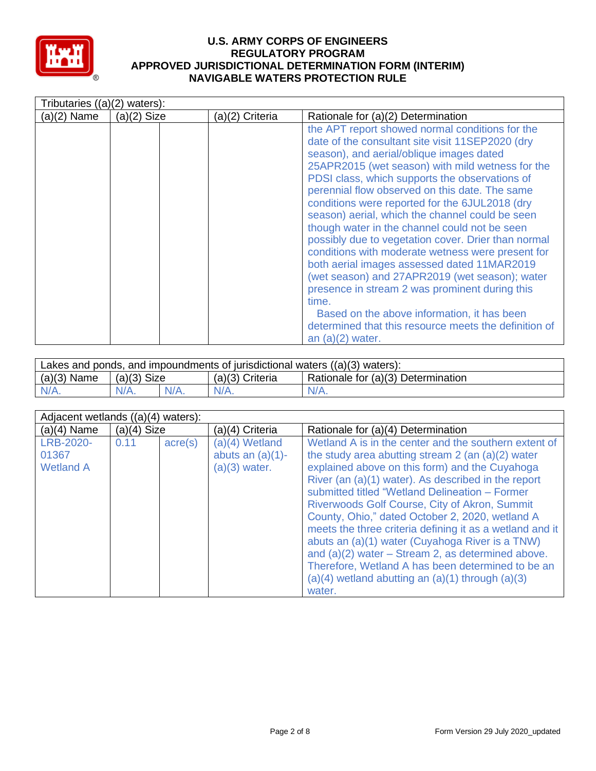

| Tributaries $((a)(2)$ waters): |               |                 |                                                                                                                                                                                                                                                                                                                                                                                                                                                                                                                                                                                                                                                                                                                                                                                                                                                                     |
|--------------------------------|---------------|-----------------|---------------------------------------------------------------------------------------------------------------------------------------------------------------------------------------------------------------------------------------------------------------------------------------------------------------------------------------------------------------------------------------------------------------------------------------------------------------------------------------------------------------------------------------------------------------------------------------------------------------------------------------------------------------------------------------------------------------------------------------------------------------------------------------------------------------------------------------------------------------------|
| $(a)(2)$ Name                  | $(a)(2)$ Size | (a)(2) Criteria | Rationale for (a)(2) Determination                                                                                                                                                                                                                                                                                                                                                                                                                                                                                                                                                                                                                                                                                                                                                                                                                                  |
|                                |               |                 | the APT report showed normal conditions for the<br>date of the consultant site visit 11SEP2020 (dry<br>season), and aerial/oblique images dated<br>25APR2015 (wet season) with mild wetness for the<br>PDSI class, which supports the observations of<br>perennial flow observed on this date. The same<br>conditions were reported for the 6JUL2018 (dry<br>season) aerial, which the channel could be seen<br>though water in the channel could not be seen<br>possibly due to vegetation cover. Drier than normal<br>conditions with moderate wetness were present for<br>both aerial images assessed dated 11MAR2019<br>(wet season) and 27APR2019 (wet season); water<br>presence in stream 2 was prominent during this<br>time.<br>Based on the above information, it has been<br>determined that this resource meets the definition of<br>an $(a)(2)$ water. |

| Lakes and ponds, and impoundments of jurisdictional waters $((a)(3)$ waters): |               |  |                 |                                    |  |  |
|-------------------------------------------------------------------------------|---------------|--|-----------------|------------------------------------|--|--|
| $(a)(3)$ Name                                                                 | $(a)(3)$ Size |  | (a)(3) Criteria | Rationale for (a)(3) Determination |  |  |
| $N/A$ .                                                                       | $N/A$ .       |  | $N/A$ .         | $N/A$ .                            |  |  |

| Adjacent wetlands $((a)(4)$ waters):          |               |         |                                                            |                                                                                                                                                                                                                                                                                                                                                                                                                                                                                                                                                                                                                                                                              |
|-----------------------------------------------|---------------|---------|------------------------------------------------------------|------------------------------------------------------------------------------------------------------------------------------------------------------------------------------------------------------------------------------------------------------------------------------------------------------------------------------------------------------------------------------------------------------------------------------------------------------------------------------------------------------------------------------------------------------------------------------------------------------------------------------------------------------------------------------|
| $(a)(4)$ Name                                 | $(a)(4)$ Size |         | (a)(4) Criteria                                            | Rationale for (a)(4) Determination                                                                                                                                                                                                                                                                                                                                                                                                                                                                                                                                                                                                                                           |
| <b>LRB-2020-</b><br>01367<br><b>Wetland A</b> | 0.11          | acre(s) | $(a)(4)$ Wetland<br>abuts an $(a)(1)$ -<br>$(a)(3)$ water. | Wetland A is in the center and the southern extent of<br>the study area abutting stream $2$ (an $(a)(2)$ water<br>explained above on this form) and the Cuyahoga<br>River (an (a)(1) water). As described in the report<br>submitted titled "Wetland Delineation - Former<br>Riverwoods Golf Course, City of Akron, Summit<br>County, Ohio," dated October 2, 2020, wetland A<br>meets the three criteria defining it as a wetland and it<br>abuts an (a)(1) water (Cuyahoga River is a TNW)<br>and $(a)(2)$ water – Stream 2, as determined above.<br>Therefore, Wetland A has been determined to be an<br>$(a)(4)$ wetland abutting an $(a)(1)$ through $(a)(3)$<br>water. |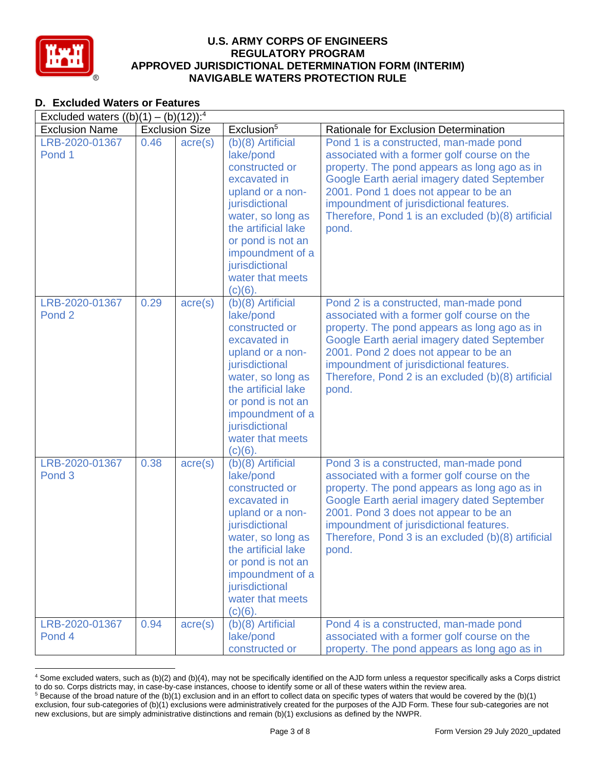

# **D. Excluded Waters or Features**

| Excluded waters $((b)(1) - (b)(12))$ : <sup>4</sup> |      |                       |                                                                                                                                                                                                                                                   |                                                                                                                                                                                                                                                                                                                                         |  |  |  |
|-----------------------------------------------------|------|-----------------------|---------------------------------------------------------------------------------------------------------------------------------------------------------------------------------------------------------------------------------------------------|-----------------------------------------------------------------------------------------------------------------------------------------------------------------------------------------------------------------------------------------------------------------------------------------------------------------------------------------|--|--|--|
| <b>Exclusion Name</b>                               |      | <b>Exclusion Size</b> | Exclusion <sup>5</sup>                                                                                                                                                                                                                            | Rationale for Exclusion Determination                                                                                                                                                                                                                                                                                                   |  |  |  |
| LRB-2020-01367<br>Pond 1                            | 0.46 | $\text{acre}(s)$      | $(b)(8)$ Artificial<br>lake/pond<br>constructed or<br>excavated in<br>upland or a non-<br>jurisdictional<br>water, so long as<br>the artificial lake<br>or pond is not an<br>impoundment of a<br>jurisdictional<br>water that meets<br>$(c)(6)$ . | Pond 1 is a constructed, man-made pond<br>associated with a former golf course on the<br>property. The pond appears as long ago as in<br>Google Earth aerial imagery dated September<br>2001. Pond 1 does not appear to be an<br>impoundment of jurisdictional features.<br>Therefore, Pond 1 is an excluded (b)(8) artificial<br>pond. |  |  |  |
| LRB-2020-01367<br>Pond <sub>2</sub>                 | 0.29 | $\text{acre}(s)$      | $(b)(8)$ Artificial<br>lake/pond<br>constructed or<br>excavated in<br>upland or a non-<br>jurisdictional<br>water, so long as<br>the artificial lake<br>or pond is not an<br>impoundment of a<br>jurisdictional<br>water that meets<br>$(c)(6)$ . | Pond 2 is a constructed, man-made pond<br>associated with a former golf course on the<br>property. The pond appears as long ago as in<br>Google Earth aerial imagery dated September<br>2001. Pond 2 does not appear to be an<br>impoundment of jurisdictional features.<br>Therefore, Pond 2 is an excluded (b)(8) artificial<br>pond. |  |  |  |
| LRB-2020-01367<br>Pond <sub>3</sub>                 | 0.38 | $\text{acre}(s)$      | $(b)(8)$ Artificial<br>lake/pond<br>constructed or<br>excavated in<br>upland or a non-<br>jurisdictional<br>water, so long as<br>the artificial lake<br>or pond is not an<br>impoundment of a<br>jurisdictional<br>water that meets<br>$(c)(6)$ . | Pond 3 is a constructed, man-made pond<br>associated with a former golf course on the<br>property. The pond appears as long ago as in<br>Google Earth aerial imagery dated September<br>2001. Pond 3 does not appear to be an<br>impoundment of jurisdictional features.<br>Therefore, Pond 3 is an excluded (b)(8) artificial<br>pond. |  |  |  |
| LRB-2020-01367<br>Pond 4                            | 0.94 | $\text{acre}(s)$      | (b)(8) Artificial<br>lake/pond<br>constructed or                                                                                                                                                                                                  | Pond 4 is a constructed, man-made pond<br>associated with a former golf course on the<br>property. The pond appears as long ago as in                                                                                                                                                                                                   |  |  |  |

<sup>4</sup> Some excluded waters, such as (b)(2) and (b)(4), may not be specifically identified on the AJD form unless a requestor specifically asks a Corps district to do so. Corps districts may, in case-by-case instances, choose to identify some or all of these waters within the review area.  $5$  Because of the broad nature of the (b)(1) exclusion and in an effort to collect data on specific types of waters that would be covered by the (b)(1)

exclusion, four sub-categories of (b)(1) exclusions were administratively created for the purposes of the AJD Form. These four sub-categories are not new exclusions, but are simply administrative distinctions and remain (b)(1) exclusions as defined by the NWPR.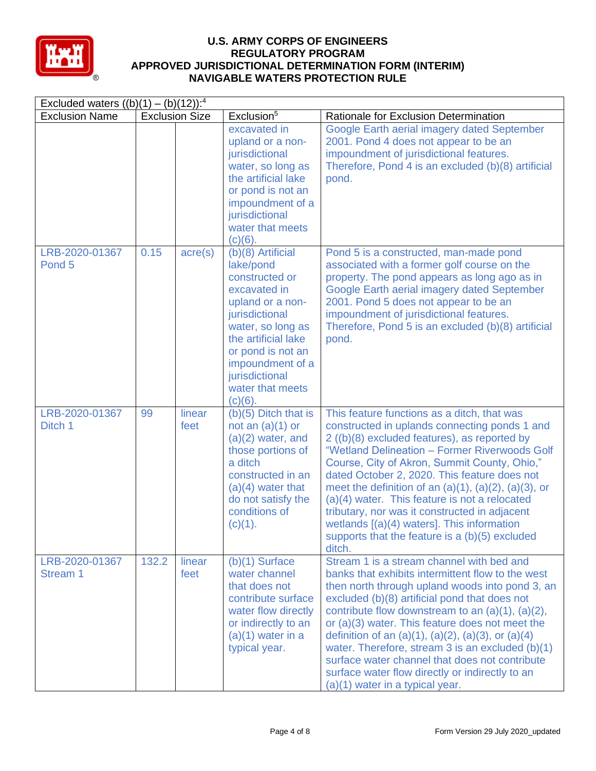

| Excluded waters $((b)(1) - (b)(12))$ : <sup>4</sup> |       |                       |                                                                                                                                                                                                                                                   |                                                                                                                                                                                                                                                                                                                                                                                                                                                                                                                                                                                  |  |  |
|-----------------------------------------------------|-------|-----------------------|---------------------------------------------------------------------------------------------------------------------------------------------------------------------------------------------------------------------------------------------------|----------------------------------------------------------------------------------------------------------------------------------------------------------------------------------------------------------------------------------------------------------------------------------------------------------------------------------------------------------------------------------------------------------------------------------------------------------------------------------------------------------------------------------------------------------------------------------|--|--|
| <b>Exclusion Name</b>                               |       | <b>Exclusion Size</b> | Exclusion <sup>5</sup>                                                                                                                                                                                                                            | Rationale for Exclusion Determination                                                                                                                                                                                                                                                                                                                                                                                                                                                                                                                                            |  |  |
|                                                     |       |                       | excavated in<br>upland or a non-<br>jurisdictional<br>water, so long as<br>the artificial lake<br>or pond is not an<br>impoundment of a<br>jurisdictional<br>water that meets<br>$(c)(6)$ .                                                       | Google Earth aerial imagery dated September<br>2001. Pond 4 does not appear to be an<br>impoundment of jurisdictional features.<br>Therefore, Pond 4 is an excluded (b)(8) artificial<br>pond.                                                                                                                                                                                                                                                                                                                                                                                   |  |  |
| LRB-2020-01367<br>Pond <sub>5</sub>                 | 0.15  | $\text{acre}(s)$      | $(b)(8)$ Artificial<br>lake/pond<br>constructed or<br>excavated in<br>upland or a non-<br>jurisdictional<br>water, so long as<br>the artificial lake<br>or pond is not an<br>impoundment of a<br>jurisdictional<br>water that meets<br>$(c)(6)$ . | Pond 5 is a constructed, man-made pond<br>associated with a former golf course on the<br>property. The pond appears as long ago as in<br>Google Earth aerial imagery dated September<br>2001. Pond 5 does not appear to be an<br>impoundment of jurisdictional features.<br>Therefore, Pond 5 is an excluded (b)(8) artificial<br>pond.                                                                                                                                                                                                                                          |  |  |
| LRB-2020-01367<br>Ditch 1                           | 99    | linear<br>feet        | $(b)(5)$ Ditch that is<br>not an $(a)(1)$ or<br>$(a)(2)$ water, and<br>those portions of<br>a ditch<br>constructed in an<br>$(a)(4)$ water that<br>do not satisfy the<br>conditions of<br>(c)(1).                                                 | This feature functions as a ditch, that was<br>constructed in uplands connecting ponds 1 and<br>2 ((b)(8) excluded features), as reported by<br>"Wetland Delineation - Former Riverwoods Golf<br>Course, City of Akron, Summit County, Ohio,"<br>dated October 2, 2020. This feature does not<br>meet the definition of an $(a)(1)$ , $(a)(2)$ , $(a)(3)$ , or<br>(a)(4) water. This feature is not a relocated<br>tributary, nor was it constructed in adjacent<br>wetlands $[(a)(4)$ waters]. This information<br>supports that the feature is a (b)(5) excluded<br>ditch.     |  |  |
| LRB-2020-01367<br>Stream 1                          | 132.2 | linear<br>feet        | $(b)(1)$ Surface<br>water channel<br>that does not<br>contribute surface<br>water flow directly<br>or indirectly to an<br>$(a)(1)$ water in a<br>typical year.                                                                                    | Stream 1 is a stream channel with bed and<br>banks that exhibits intermittent flow to the west<br>then north through upland woods into pond 3, an<br>excluded (b)(8) artificial pond that does not<br>contribute flow downstream to an $(a)(1)$ , $(a)(2)$ ,<br>or (a)(3) water. This feature does not meet the<br>definition of an $(a)(1)$ , $(a)(2)$ , $(a)(3)$ , or $(a)(4)$<br>water. Therefore, stream $3$ is an excluded $(b)(1)$<br>surface water channel that does not contribute<br>surface water flow directly or indirectly to an<br>(a)(1) water in a typical year. |  |  |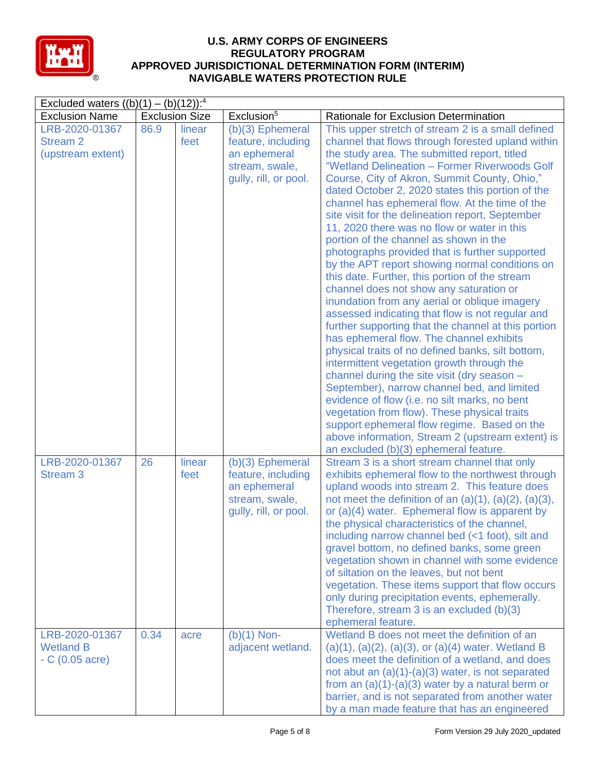

| Excluded waters $((b)(1) - (b)(12))$ : <sup>4</sup>    |      |                       |                                                                                                     |                                                                                                                                                                                                                                                                                                                                                                                                                                                                                                                                                                                                                                                                                                                                                                                                                                                                                                                                                                                                                                                                                                                                                                                                                                                                                                                                                                   |  |  |
|--------------------------------------------------------|------|-----------------------|-----------------------------------------------------------------------------------------------------|-------------------------------------------------------------------------------------------------------------------------------------------------------------------------------------------------------------------------------------------------------------------------------------------------------------------------------------------------------------------------------------------------------------------------------------------------------------------------------------------------------------------------------------------------------------------------------------------------------------------------------------------------------------------------------------------------------------------------------------------------------------------------------------------------------------------------------------------------------------------------------------------------------------------------------------------------------------------------------------------------------------------------------------------------------------------------------------------------------------------------------------------------------------------------------------------------------------------------------------------------------------------------------------------------------------------------------------------------------------------|--|--|
| <b>Exclusion Name</b>                                  |      | <b>Exclusion Size</b> | Exclusion <sup>5</sup>                                                                              | Rationale for Exclusion Determination                                                                                                                                                                                                                                                                                                                                                                                                                                                                                                                                                                                                                                                                                                                                                                                                                                                                                                                                                                                                                                                                                                                                                                                                                                                                                                                             |  |  |
| LRB-2020-01367<br><b>Stream 2</b><br>(upstream extent) | 86.9 | linear<br>feet        | $(b)(3)$ Ephemeral<br>feature, including<br>an ephemeral<br>stream, swale,<br>gully, rill, or pool. | This upper stretch of stream 2 is a small defined<br>channel that flows through forested upland within<br>the study area. The submitted report, titled<br>"Wetland Delineation - Former Riverwoods Golf<br>Course, City of Akron, Summit County, Ohio,"<br>dated October 2, 2020 states this portion of the<br>channel has ephemeral flow. At the time of the<br>site visit for the delineation report, September<br>11, 2020 there was no flow or water in this<br>portion of the channel as shown in the<br>photographs provided that is further supported<br>by the APT report showing normal conditions on<br>this date. Further, this portion of the stream<br>channel does not show any saturation or<br>inundation from any aerial or oblique imagery<br>assessed indicating that flow is not regular and<br>further supporting that the channel at this portion<br>has ephemeral flow. The channel exhibits<br>physical traits of no defined banks, silt bottom,<br>intermittent vegetation growth through the<br>channel during the site visit (dry season -<br>September), narrow channel bed, and limited<br>evidence of flow (i.e. no silt marks, no bent<br>vegetation from flow). These physical traits<br>support ephemeral flow regime. Based on the<br>above information, Stream 2 (upstream extent) is<br>an excluded (b)(3) ephemeral feature. |  |  |
| LRB-2020-01367<br><b>Stream 3</b>                      | 26   | linear<br>feet        | $(b)(3)$ Ephemeral<br>feature, including<br>an ephemeral<br>stream, swale,<br>gully, rill, or pool. | Stream 3 is a short stream channel that only<br>exhibits ephemeral flow to the northwest through<br>upland woods into stream 2. This feature does<br>not meet the definition of an $(a)(1)$ , $(a)(2)$ , $(a)(3)$ ,<br>or (a)(4) water. Ephemeral flow is apparent by<br>the physical characteristics of the channel,<br>including narrow channel bed (<1 foot), silt and<br>gravel bottom, no defined banks, some green<br>vegetation shown in channel with some evidence<br>of siltation on the leaves, but not bent<br>vegetation. These items support that flow occurs<br>only during precipitation events, ephemerally.<br>Therefore, stream 3 is an excluded (b)(3)<br>ephemeral feature.                                                                                                                                                                                                                                                                                                                                                                                                                                                                                                                                                                                                                                                                   |  |  |
| LRB-2020-01367<br><b>Wetland B</b><br>$-C(0.05 acre)$  | 0.34 | acre                  | $(b)(1)$ Non-<br>adjacent wetland.                                                                  | Wetland B does not meet the definition of an<br>$(a)(1), (a)(2), (a)(3),$ or $(a)(4)$ water. Wetland B<br>does meet the definition of a wetland, and does<br>not abut an $(a)(1)-(a)(3)$ water, is not separated<br>from an $(a)(1)-(a)(3)$ water by a natural berm or<br>barrier, and is not separated from another water<br>by a man made feature that has an engineered                                                                                                                                                                                                                                                                                                                                                                                                                                                                                                                                                                                                                                                                                                                                                                                                                                                                                                                                                                                        |  |  |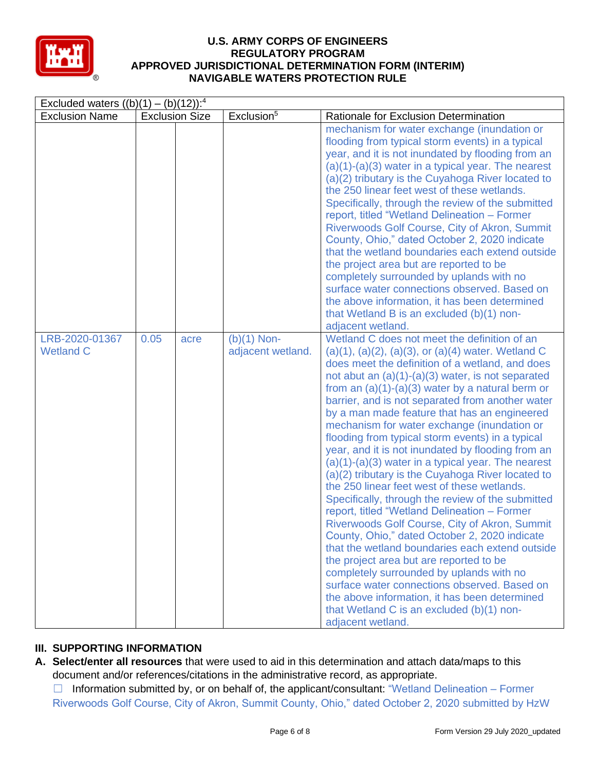

| Excluded waters $((b)(1) - (b)(12))$ : <sup>4</sup> |                       |      |                                    |                                                                                                                                                                                                                                                                                                                                                                                                                                                                                                                                                                                                                                                                                                                                                                                                                                                                                                                                                                                                                                                                                                                                                                                                                    |  |  |
|-----------------------------------------------------|-----------------------|------|------------------------------------|--------------------------------------------------------------------------------------------------------------------------------------------------------------------------------------------------------------------------------------------------------------------------------------------------------------------------------------------------------------------------------------------------------------------------------------------------------------------------------------------------------------------------------------------------------------------------------------------------------------------------------------------------------------------------------------------------------------------------------------------------------------------------------------------------------------------------------------------------------------------------------------------------------------------------------------------------------------------------------------------------------------------------------------------------------------------------------------------------------------------------------------------------------------------------------------------------------------------|--|--|
| <b>Exclusion Name</b>                               | <b>Exclusion Size</b> |      | Exclusion <sup>5</sup>             | Rationale for Exclusion Determination                                                                                                                                                                                                                                                                                                                                                                                                                                                                                                                                                                                                                                                                                                                                                                                                                                                                                                                                                                                                                                                                                                                                                                              |  |  |
|                                                     |                       |      |                                    | mechanism for water exchange (inundation or<br>flooding from typical storm events) in a typical<br>year, and it is not inundated by flooding from an<br>$(a)(1)-(a)(3)$ water in a typical year. The nearest<br>(a)(2) tributary is the Cuyahoga River located to<br>the 250 linear feet west of these wetlands.<br>Specifically, through the review of the submitted<br>report, titled "Wetland Delineation - Former<br>Riverwoods Golf Course, City of Akron, Summit<br>County, Ohio," dated October 2, 2020 indicate<br>that the wetland boundaries each extend outside<br>the project area but are reported to be<br>completely surrounded by uplands with no<br>surface water connections observed. Based on<br>the above information, it has been determined<br>that Wetland B is an excluded (b)(1) non-<br>adjacent wetland.                                                                                                                                                                                                                                                                                                                                                                               |  |  |
| LRB-2020-01367<br><b>Wetland C</b>                  | 0.05                  | acre | $(b)(1)$ Non-<br>adjacent wetland. | Wetland C does not meet the definition of an<br>$(a)(1), (a)(2), (a)(3),$ or $(a)(4)$ water. Wetland C<br>does meet the definition of a wetland, and does<br>not abut an $(a)(1)-(a)(3)$ water, is not separated<br>from an $(a)(1)-(a)(3)$ water by a natural berm or<br>barrier, and is not separated from another water<br>by a man made feature that has an engineered<br>mechanism for water exchange (inundation or<br>flooding from typical storm events) in a typical<br>year, and it is not inundated by flooding from an<br>$(a)(1)-(a)(3)$ water in a typical year. The nearest<br>(a)(2) tributary is the Cuyahoga River located to<br>the 250 linear feet west of these wetlands.<br>Specifically, through the review of the submitted<br>report, titled "Wetland Delineation - Former<br>Riverwoods Golf Course, City of Akron, Summit<br>County, Ohio," dated October 2, 2020 indicate<br>that the wetland boundaries each extend outside<br>the project area but are reported to be<br>completely surrounded by uplands with no<br>surface water connections observed. Based on<br>the above information, it has been determined<br>that Wetland C is an excluded (b)(1) non-<br>adjacent wetland. |  |  |

# **III. SUPPORTING INFORMATION**

**A. Select/enter all resources** that were used to aid in this determination and attach data/maps to this document and/or references/citations in the administrative record, as appropriate.

 $\Box$  Information submitted by, or on behalf of, the applicant/consultant: "Wetland Delineation – Former Riverwoods Golf Course, City of Akron, Summit County, Ohio," dated October 2, 2020 submitted by HzW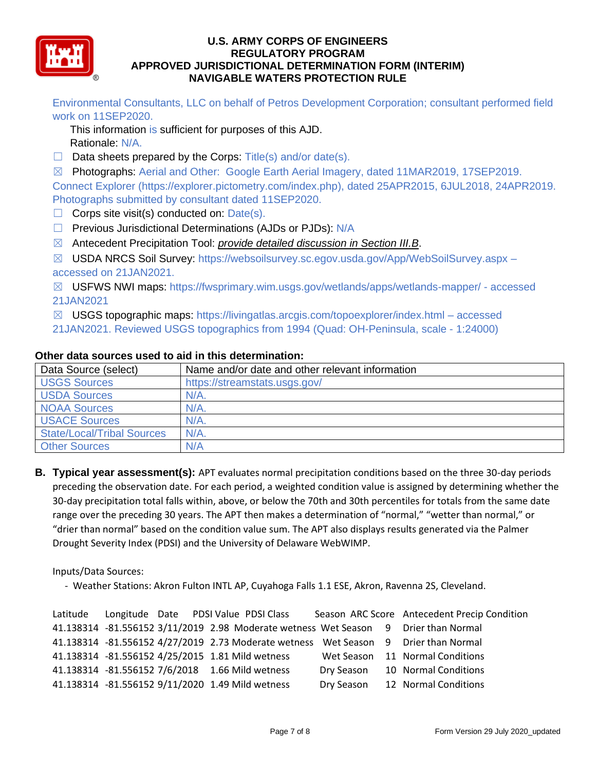

Environmental Consultants, LLC on behalf of Petros Development Corporation; consultant performed field work on 11SEP2020.

This information is sufficient for purposes of this AJD. Rationale: N/A.

 $\Box$  Data sheets prepared by the Corps: Title(s) and/or date(s).

☒ Photographs: Aerial and Other: Google Earth Aerial Imagery, dated 11MAR2019, 17SEP2019. Connect Explorer (https://explorer.pictometry.com/index.php), dated 25APR2015, 6JUL2018, 24APR2019. Photographs submitted by consultant dated 11SEP2020.

- $\Box$  Corps site visit(s) conducted on: Date(s).
- □ Previous Jurisdictional Determinations (AJDs or PJDs): N/A
- ☒ Antecedent Precipitation Tool: *provide detailed discussion in Section III.B*.
- ☒ USDA NRCS Soil Survey: https://websoilsurvey.sc.egov.usda.gov/App/WebSoilSurvey.aspx accessed on 21JAN2021.

☒ USFWS NWI maps: https://fwsprimary.wim.usgs.gov/wetlands/apps/wetlands-mapper/ - accessed 21JAN2021

- ☒ USGS topographic maps: https://livingatlas.arcgis.com/topoexplorer/index.html accessed
- 21JAN2021. Reviewed USGS topographics from 1994 (Quad: OH-Peninsula, scale 1:24000)

| Data Source (select)              | Name and/or date and other relevant information |
|-----------------------------------|-------------------------------------------------|
| <b>USGS Sources</b>               | https://streamstats.usgs.gov/                   |
| <b>USDA Sources</b>               | $N/A$ .                                         |
| <b>NOAA Sources</b>               | N/A                                             |
| <b>USACE Sources</b>              | N/A                                             |
| <b>State/Local/Tribal Sources</b> | $N/A$ .                                         |
| <b>Other Sources</b>              | N/A                                             |

#### **Other data sources used to aid in this determination:**

**B. Typical year assessment(s):** APT evaluates normal precipitation conditions based on the three 30-day periods preceding the observation date. For each period, a weighted condition value is assigned by determining whether the 30-day precipitation total falls within, above, or below the 70th and 30th percentiles for totals from the same date range over the preceding 30 years. The APT then makes a determination of "normal," "wetter than normal," or "drier than normal" based on the condition value sum. The APT also displays results generated via the Palmer Drought Severity Index (PDSI) and the University of Delaware WebWIMP.

Inputs/Data Sources:

- Weather Stations: Akron Fulton INTL AP, Cuyahoga Falls 1.1 ESE, Akron, Ravenna 2S, Cleveland.

|  | Latitude Longitude Date PDSI Value PDSI Class                                       |  | Season ARC Score Antecedent Precip Condition |
|--|-------------------------------------------------------------------------------------|--|----------------------------------------------|
|  | 41.138314 -81.556152 3/11/2019 2.98 Moderate wetness Wet Season 9 Drier than Normal |  |                                              |
|  | 41.138314 -81.556152 4/27/2019 2.73 Moderate wetness Wet Season 9 Drier than Normal |  |                                              |
|  | 41.138314 -81.556152 4/25/2015 1.81 Mild wetness                                    |  | Wet Season 11 Normal Conditions              |
|  | 41.138314 -81.556152 7/6/2018 1.66 Mild wetness                                     |  | Dry Season 10 Normal Conditions              |
|  | 41.138314 -81.556152 9/11/2020 1.49 Mild wetness                                    |  | Dry Season 12 Normal Conditions              |